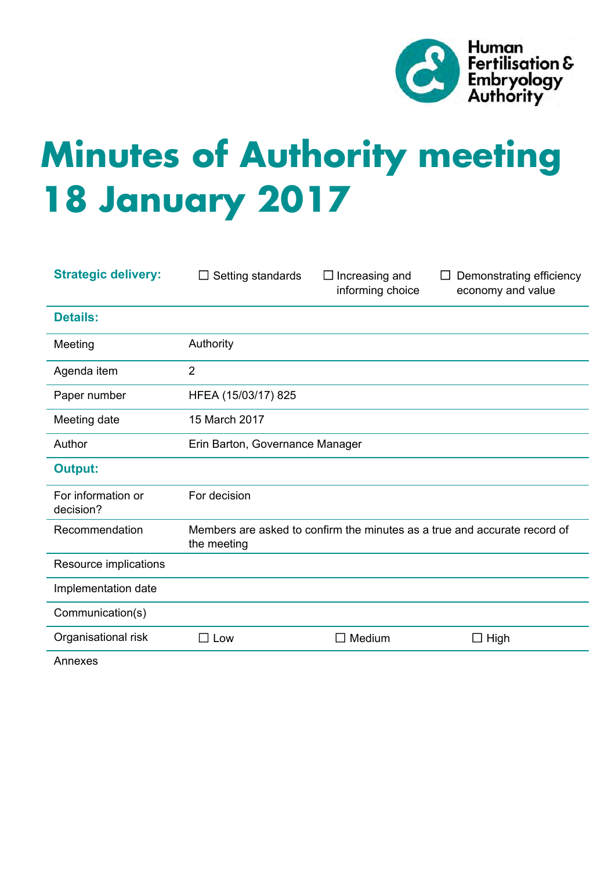

# **Minutes of Authority meeting 18 January 2017**

| <b>Strategic delivery:</b>      | Setting standards<br>$\Box$                                                              | $\Box$ Increasing and<br>informing choice | Demonstrating efficiency<br>$\Box$<br>economy and value |
|---------------------------------|------------------------------------------------------------------------------------------|-------------------------------------------|---------------------------------------------------------|
| <b>Details:</b>                 |                                                                                          |                                           |                                                         |
| Meeting                         | Authority                                                                                |                                           |                                                         |
| Agenda item                     | $\overline{2}$                                                                           |                                           |                                                         |
| Paper number                    | HFEA (15/03/17) 825                                                                      |                                           |                                                         |
| Meeting date                    | 15 March 2017                                                                            |                                           |                                                         |
| Author                          | Erin Barton, Governance Manager                                                          |                                           |                                                         |
| <b>Output:</b>                  |                                                                                          |                                           |                                                         |
| For information or<br>decision? | For decision                                                                             |                                           |                                                         |
| Recommendation                  | Members are asked to confirm the minutes as a true and accurate record of<br>the meeting |                                           |                                                         |
| Resource implications           |                                                                                          |                                           |                                                         |
| Implementation date             |                                                                                          |                                           |                                                         |
| Communication(s)                |                                                                                          |                                           |                                                         |
| Organisational risk             | $\square$ Low                                                                            | $\Box$ Medium                             | $\Box$ High                                             |
|                                 |                                                                                          |                                           |                                                         |

Annexes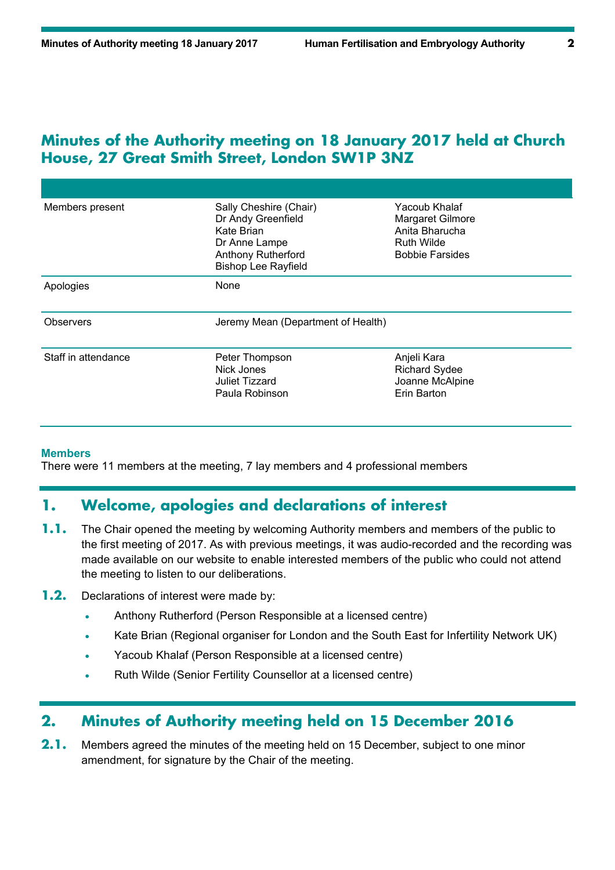#### **Minutes of the Authority meeting on 18 January 2017 held at Church House, 27 Great Smith Street, London SW1P 3NZ**

| Members present     | Sally Cheshire (Chair)<br>Dr Andy Greenfield<br>Kate Brian<br>Dr Anne Lampe<br><b>Anthony Rutherford</b><br><b>Bishop Lee Rayfield</b> | Yacoub Khalaf<br>Margaret Gilmore<br>Anita Bharucha<br><b>Ruth Wilde</b><br><b>Bobbie Farsides</b> |  |
|---------------------|----------------------------------------------------------------------------------------------------------------------------------------|----------------------------------------------------------------------------------------------------|--|
| Apologies           | None                                                                                                                                   |                                                                                                    |  |
| <b>Observers</b>    | Jeremy Mean (Department of Health)                                                                                                     |                                                                                                    |  |
| Staff in attendance | Peter Thompson<br>Nick Jones<br>Juliet Tizzard<br>Paula Robinson                                                                       | Anjeli Kara<br><b>Richard Sydee</b><br>Joanne McAlpine<br>Erin Barton                              |  |

#### **Members**

There were 11 members at the meeting, 7 lay members and 4 professional members

### **1. Welcome, apologies and declarations of interest**

- **1.1.** The Chair opened the meeting by welcoming Authority members and members of the public to the first meeting of 2017. As with previous meetings, it was audio-recorded and the recording was made available on our website to enable interested members of the public who could not attend the meeting to listen to our deliberations.
- **1.2.** Declarations of interest were made by:
	- Anthony Rutherford (Person Responsible at a licensed centre)
	- Kate Brian (Regional organiser for London and the South East for Infertility Network UK)
	- Yacoub Khalaf (Person Responsible at a licensed centre)
	- Ruth Wilde (Senior Fertility Counsellor at a licensed centre)

#### **2. Minutes of Authority meeting held on 15 December 2016**

**2.1.** Members agreed the minutes of the meeting held on 15 December, subject to one minor amendment, for signature by the Chair of the meeting.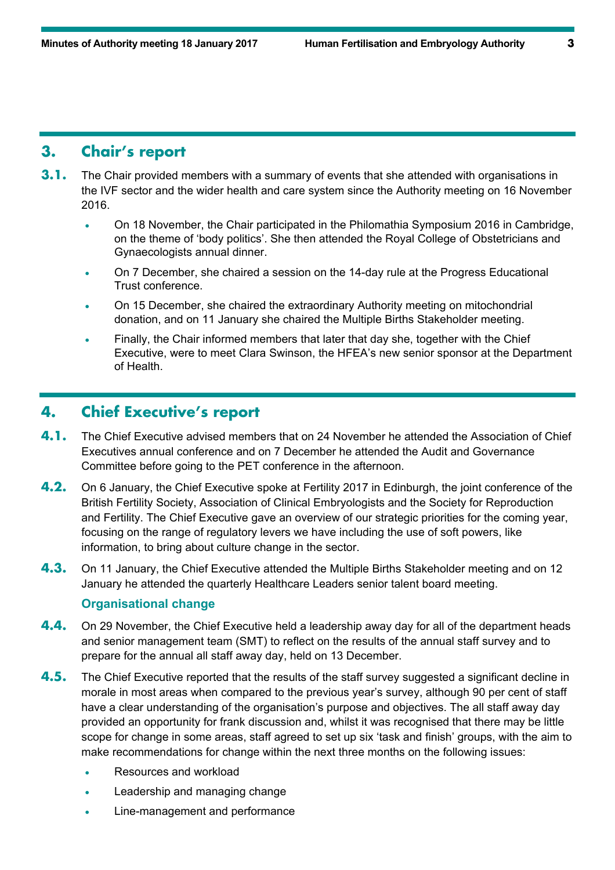#### **3. Chair's report**

- **3.1.** The Chair provided members with a summary of events that she attended with organisations in the IVF sector and the wider health and care system since the Authority meeting on 16 November 2016.
	- On 18 November, the Chair participated in the Philomathia Symposium 2016 in Cambridge, on the theme of 'body politics'. She then attended the Royal College of Obstetricians and Gynaecologists annual dinner.
	- On 7 December, she chaired a session on the 14-day rule at the Progress Educational Trust conference.
	- On 15 December, she chaired the extraordinary Authority meeting on mitochondrial donation, and on 11 January she chaired the Multiple Births Stakeholder meeting.
	- Finally, the Chair informed members that later that day she, together with the Chief Executive, were to meet Clara Swinson, the HFEA's new senior sponsor at the Department of Health.

### **4. Chief Executive's report**

- **4.1.** The Chief Executive advised members that on 24 November he attended the Association of Chief Executives annual conference and on 7 December he attended the Audit and Governance Committee before going to the PET conference in the afternoon.
- **4.2.** On 6 January, the Chief Executive spoke at Fertility 2017 in Edinburgh, the joint conference of the British Fertility Society, Association of Clinical Embryologists and the Society for Reproduction and Fertility. The Chief Executive gave an overview of our strategic priorities for the coming year, focusing on the range of regulatory levers we have including the use of soft powers, like information, to bring about culture change in the sector.
- **4.3.** On 11 January, the Chief Executive attended the Multiple Births Stakeholder meeting and on 12 January he attended the quarterly Healthcare Leaders senior talent board meeting.

#### **Organisational change**

- **4.4.** On 29 November, the Chief Executive held a leadership away day for all of the department heads and senior management team (SMT) to reflect on the results of the annual staff survey and to prepare for the annual all staff away day, held on 13 December.
- **4.5.** The Chief Executive reported that the results of the staff survey suggested a significant decline in morale in most areas when compared to the previous year's survey, although 90 per cent of staff have a clear understanding of the organisation's purpose and objectives. The all staff away day provided an opportunity for frank discussion and, whilst it was recognised that there may be little scope for change in some areas, staff agreed to set up six 'task and finish' groups, with the aim to make recommendations for change within the next three months on the following issues:
	- Resources and workload
	- Leadership and managing change
	- Line-management and performance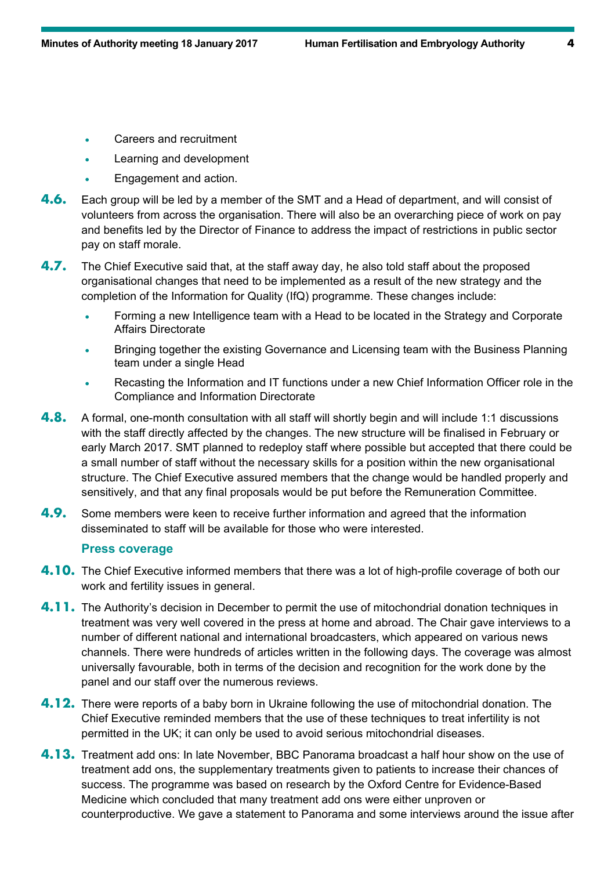- Careers and recruitment
- Learning and development
- Engagement and action.
- **4.6.** Each group will be led by a member of the SMT and a Head of department, and will consist of volunteers from across the organisation. There will also be an overarching piece of work on pay and benefits led by the Director of Finance to address the impact of restrictions in public sector pay on staff morale.
- **4.7.** The Chief Executive said that, at the staff away day, he also told staff about the proposed organisational changes that need to be implemented as a result of the new strategy and the completion of the Information for Quality (IfQ) programme. These changes include:
	- Forming a new Intelligence team with a Head to be located in the Strategy and Corporate Affairs Directorate
	- Bringing together the existing Governance and Licensing team with the Business Planning team under a single Head
	- Recasting the Information and IT functions under a new Chief Information Officer role in the Compliance and Information Directorate
- **4.8.** A formal, one-month consultation with all staff will shortly begin and will include 1:1 discussions with the staff directly affected by the changes. The new structure will be finalised in February or early March 2017. SMT planned to redeploy staff where possible but accepted that there could be a small number of staff without the necessary skills for a position within the new organisational structure. The Chief Executive assured members that the change would be handled properly and sensitively, and that any final proposals would be put before the Remuneration Committee.
- **4.9.** Some members were keen to receive further information and agreed that the information disseminated to staff will be available for those who were interested.

#### **Press coverage**

- **4.10.** The Chief Executive informed members that there was a lot of high-profile coverage of both our work and fertility issues in general.
- **4.11.** The Authority's decision in December to permit the use of mitochondrial donation techniques in treatment was very well covered in the press at home and abroad. The Chair gave interviews to a number of different national and international broadcasters, which appeared on various news channels. There were hundreds of articles written in the following days. The coverage was almost universally favourable, both in terms of the decision and recognition for the work done by the panel and our staff over the numerous reviews.
- **4.12.** There were reports of a baby born in Ukraine following the use of mitochondrial donation. The Chief Executive reminded members that the use of these techniques to treat infertility is not permitted in the UK; it can only be used to avoid serious mitochondrial diseases.
- **4.13.** Treatment add ons: In late November, BBC Panorama broadcast a half hour show on the use of treatment add ons, the supplementary treatments given to patients to increase their chances of success. The programme was based on research by the Oxford Centre for Evidence-Based Medicine which concluded that many treatment add ons were either unproven or counterproductive. We gave a statement to Panorama and some interviews around the issue after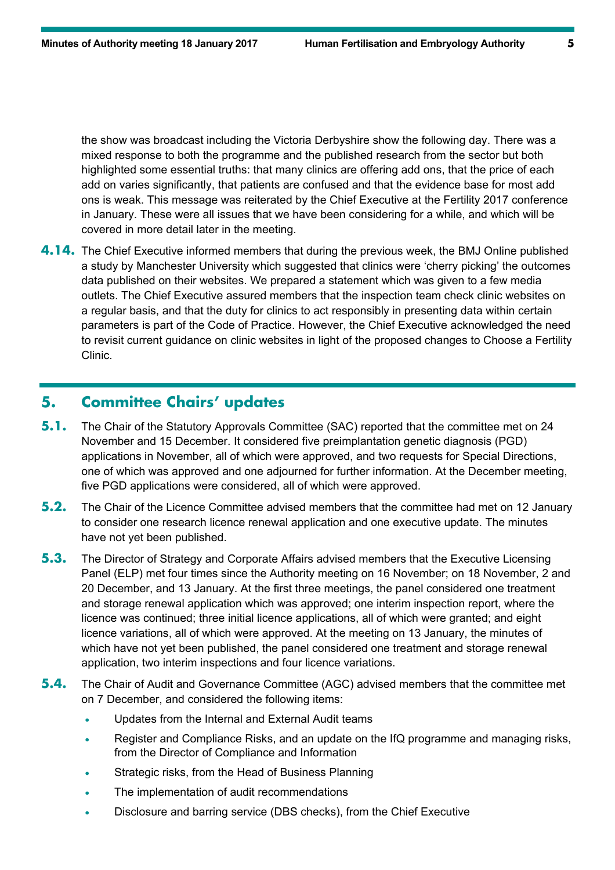the show was broadcast including the Victoria Derbyshire show the following day. There was a mixed response to both the programme and the published research from the sector but both highlighted some essential truths: that many clinics are offering add ons, that the price of each add on varies significantly, that patients are confused and that the evidence base for most add ons is weak. This message was reiterated by the Chief Executive at the Fertility 2017 conference in January. These were all issues that we have been considering for a while, and which will be covered in more detail later in the meeting.

**4.14.** The Chief Executive informed members that during the previous week, the BMJ Online published a study by Manchester University which suggested that clinics were 'cherry picking' the outcomes data published on their websites. We prepared a statement which was given to a few media outlets. The Chief Executive assured members that the inspection team check clinic websites on a regular basis, and that the duty for clinics to act responsibly in presenting data within certain parameters is part of the Code of Practice. However, the Chief Executive acknowledged the need to revisit current guidance on clinic websites in light of the proposed changes to Choose a Fertility Clinic.

#### **5. Committee Chairs' updates**

- **5.1.** The Chair of the Statutory Approvals Committee (SAC) reported that the committee met on 24 November and 15 December. It considered five preimplantation genetic diagnosis (PGD) applications in November, all of which were approved, and two requests for Special Directions, one of which was approved and one adjourned for further information. At the December meeting, five PGD applications were considered, all of which were approved.
- **5.2.** The Chair of the Licence Committee advised members that the committee had met on 12 January to consider one research licence renewal application and one executive update. The minutes have not yet been published.
- **5.3.** The Director of Strategy and Corporate Affairs advised members that the Executive Licensing Panel (ELP) met four times since the Authority meeting on 16 November; on 18 November, 2 and 20 December, and 13 January. At the first three meetings, the panel considered one treatment and storage renewal application which was approved; one interim inspection report, where the licence was continued; three initial licence applications, all of which were granted; and eight licence variations, all of which were approved. At the meeting on 13 January, the minutes of which have not yet been published, the panel considered one treatment and storage renewal application, two interim inspections and four licence variations.
- **5.4.** The Chair of Audit and Governance Committee (AGC) advised members that the committee met on 7 December, and considered the following items:
	- Updates from the Internal and External Audit teams
	- Register and Compliance Risks, and an update on the IfQ programme and managing risks, from the Director of Compliance and Information
	- Strategic risks, from the Head of Business Planning
	- The implementation of audit recommendations
	- Disclosure and barring service (DBS checks), from the Chief Executive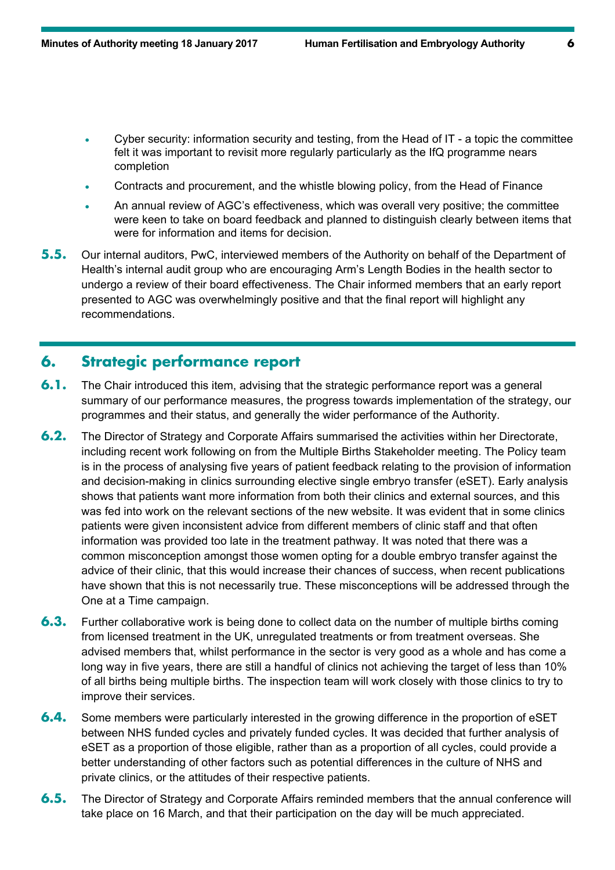- Cyber security: information security and testing, from the Head of IT a topic the committee felt it was important to revisit more regularly particularly as the IfQ programme nears completion
- Contracts and procurement, and the whistle blowing policy, from the Head of Finance
- An annual review of AGC's effectiveness, which was overall very positive; the committee were keen to take on board feedback and planned to distinguish clearly between items that were for information and items for decision.
- **5.5.** Our internal auditors, PwC, interviewed members of the Authority on behalf of the Department of Health's internal audit group who are encouraging Arm's Length Bodies in the health sector to undergo a review of their board effectiveness. The Chair informed members that an early report presented to AGC was overwhelmingly positive and that the final report will highlight any recommendations.

# **6. Strategic performance report**

- **6.1.** The Chair introduced this item, advising that the strategic performance report was a general summary of our performance measures, the progress towards implementation of the strategy, our programmes and their status, and generally the wider performance of the Authority.
- **6.2.** The Director of Strategy and Corporate Affairs summarised the activities within her Directorate, including recent work following on from the Multiple Births Stakeholder meeting. The Policy team is in the process of analysing five years of patient feedback relating to the provision of information and decision-making in clinics surrounding elective single embryo transfer (eSET). Early analysis shows that patients want more information from both their clinics and external sources, and this was fed into work on the relevant sections of the new website. It was evident that in some clinics patients were given inconsistent advice from different members of clinic staff and that often information was provided too late in the treatment pathway. It was noted that there was a common misconception amongst those women opting for a double embryo transfer against the advice of their clinic, that this would increase their chances of success, when recent publications have shown that this is not necessarily true. These misconceptions will be addressed through the One at a Time campaign.
- **6.3.** Further collaborative work is being done to collect data on the number of multiple births coming from licensed treatment in the UK, unregulated treatments or from treatment overseas. She advised members that, whilst performance in the sector is very good as a whole and has come a long way in five years, there are still a handful of clinics not achieving the target of less than 10% of all births being multiple births. The inspection team will work closely with those clinics to try to improve their services.
- **6.4.** Some members were particularly interested in the growing difference in the proportion of eSET between NHS funded cycles and privately funded cycles. It was decided that further analysis of eSET as a proportion of those eligible, rather than as a proportion of all cycles, could provide a better understanding of other factors such as potential differences in the culture of NHS and private clinics, or the attitudes of their respective patients.
- **6.5.** The Director of Strategy and Corporate Affairs reminded members that the annual conference will take place on 16 March, and that their participation on the day will be much appreciated.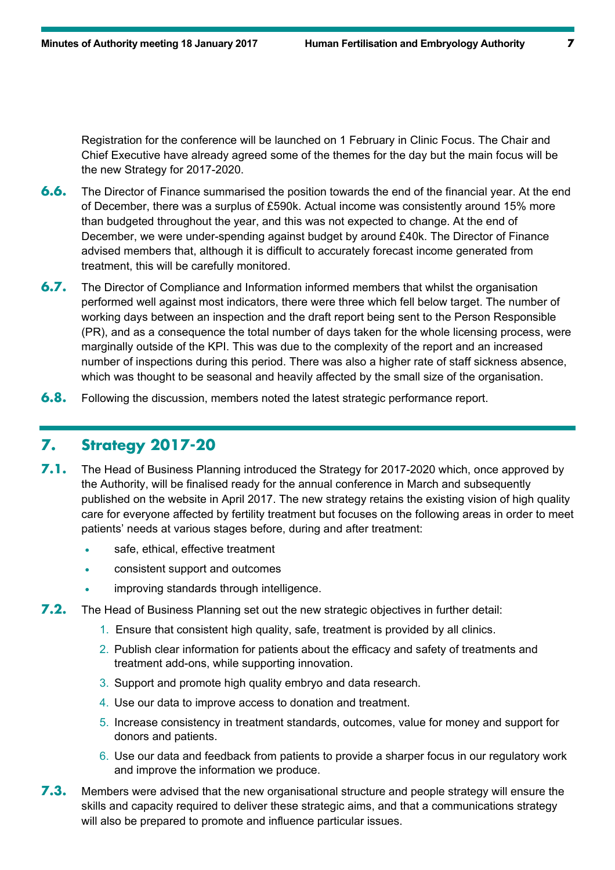Registration for the conference will be launched on 1 February in Clinic Focus. The Chair and Chief Executive have already agreed some of the themes for the day but the main focus will be the new Strategy for 2017-2020.

- **6.6.** The Director of Finance summarised the position towards the end of the financial year. At the end of December, there was a surplus of £590k. Actual income was consistently around 15% more than budgeted throughout the year, and this was not expected to change. At the end of December, we were under-spending against budget by around £40k. The Director of Finance advised members that, although it is difficult to accurately forecast income generated from treatment, this will be carefully monitored.
- **6.7.** The Director of Compliance and Information informed members that whilst the organisation performed well against most indicators, there were three which fell below target. The number of working days between an inspection and the draft report being sent to the Person Responsible (PR), and as a consequence the total number of days taken for the whole licensing process, were marginally outside of the KPI. This was due to the complexity of the report and an increased number of inspections during this period. There was also a higher rate of staff sickness absence, which was thought to be seasonal and heavily affected by the small size of the organisation.
- **6.8.** Following the discussion, members noted the latest strategic performance report.

### **7. Strategy 2017-20**

- **7.1.** The Head of Business Planning introduced the Strategy for 2017-2020 which, once approved by the Authority, will be finalised ready for the annual conference in March and subsequently published on the website in April 2017. The new strategy retains the existing vision of high quality care for everyone affected by fertility treatment but focuses on the following areas in order to meet patients' needs at various stages before, during and after treatment:
	- safe, ethical, effective treatment
	- consistent support and outcomes
	- improving standards through intelligence.
- **7.2.** The Head of Business Planning set out the new strategic objectives in further detail:
	- 1. Ensure that consistent high quality, safe, treatment is provided by all clinics.
	- 2. Publish clear information for patients about the efficacy and safety of treatments and treatment add-ons, while supporting innovation.
	- 3. Support and promote high quality embryo and data research.
	- 4. Use our data to improve access to donation and treatment.
	- 5. Increase consistency in treatment standards, outcomes, value for money and support for donors and patients.
	- 6. Use our data and feedback from patients to provide a sharper focus in our regulatory work and improve the information we produce.
- **7.3.** Members were advised that the new organisational structure and people strategy will ensure the skills and capacity required to deliver these strategic aims, and that a communications strategy will also be prepared to promote and influence particular issues.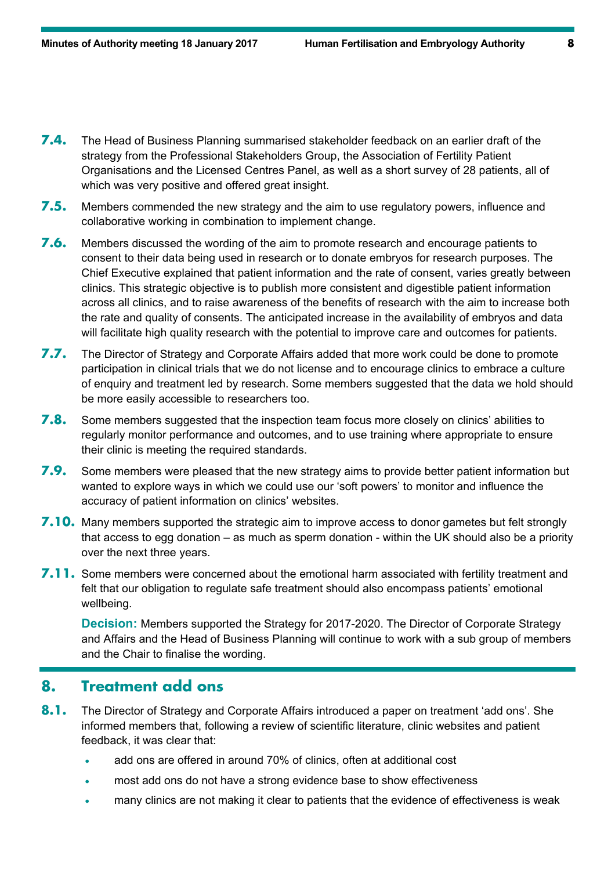- **7.4.** The Head of Business Planning summarised stakeholder feedback on an earlier draft of the strategy from the Professional Stakeholders Group, the Association of Fertility Patient Organisations and the Licensed Centres Panel, as well as a short survey of 28 patients, all of which was very positive and offered great insight.
- **7.5.** Members commended the new strategy and the aim to use regulatory powers, influence and collaborative working in combination to implement change.
- **7.6.** Members discussed the wording of the aim to promote research and encourage patients to consent to their data being used in research or to donate embryos for research purposes. The Chief Executive explained that patient information and the rate of consent, varies greatly between clinics. This strategic objective is to publish more consistent and digestible patient information across all clinics, and to raise awareness of the benefits of research with the aim to increase both the rate and quality of consents. The anticipated increase in the availability of embryos and data will facilitate high quality research with the potential to improve care and outcomes for patients.
- **7.7.** The Director of Strategy and Corporate Affairs added that more work could be done to promote participation in clinical trials that we do not license and to encourage clinics to embrace a culture of enquiry and treatment led by research. Some members suggested that the data we hold should be more easily accessible to researchers too.
- **7.8.** Some members suggested that the inspection team focus more closely on clinics' abilities to regularly monitor performance and outcomes, and to use training where appropriate to ensure their clinic is meeting the required standards.
- **7.9.** Some members were pleased that the new strategy aims to provide better patient information but wanted to explore ways in which we could use our 'soft powers' to monitor and influence the accuracy of patient information on clinics' websites.
- **7.10.** Many members supported the strategic aim to improve access to donor gametes but felt strongly that access to egg donation – as much as sperm donation - within the UK should also be a priority over the next three years.
- **7.11.** Some members were concerned about the emotional harm associated with fertility treatment and felt that our obligation to regulate safe treatment should also encompass patients' emotional wellbeing.

**Decision:** Members supported the Strategy for 2017-2020. The Director of Corporate Strategy and Affairs and the Head of Business Planning will continue to work with a sub group of members and the Chair to finalise the wording.

## **8. Treatment add ons**

- **8.1.** The Director of Strategy and Corporate Affairs introduced a paper on treatment 'add ons'. She informed members that, following a review of scientific literature, clinic websites and patient feedback, it was clear that:
	- add ons are offered in around 70% of clinics, often at additional cost
	- most add ons do not have a strong evidence base to show effectiveness
	- many clinics are not making it clear to patients that the evidence of effectiveness is weak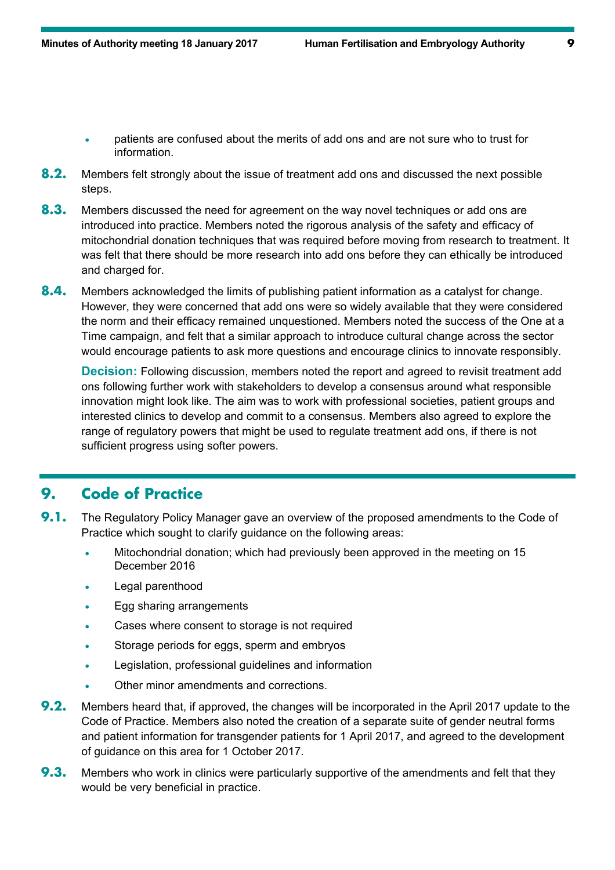- patients are confused about the merits of add ons and are not sure who to trust for information.
- **8.2.** Members felt strongly about the issue of treatment add ons and discussed the next possible steps.
- **8.3.** Members discussed the need for agreement on the way novel techniques or add ons are introduced into practice. Members noted the rigorous analysis of the safety and efficacy of mitochondrial donation techniques that was required before moving from research to treatment. It was felt that there should be more research into add ons before they can ethically be introduced and charged for.
- **8.4.** Members acknowledged the limits of publishing patient information as a catalyst for change. However, they were concerned that add ons were so widely available that they were considered the norm and their efficacy remained unquestioned. Members noted the success of the One at a Time campaign, and felt that a similar approach to introduce cultural change across the sector would encourage patients to ask more questions and encourage clinics to innovate responsibly.

**Decision:** Following discussion, members noted the report and agreed to revisit treatment add ons following further work with stakeholders to develop a consensus around what responsible innovation might look like. The aim was to work with professional societies, patient groups and interested clinics to develop and commit to a consensus. Members also agreed to explore the range of regulatory powers that might be used to regulate treatment add ons, if there is not sufficient progress using softer powers.

#### **9. Code of Practice**

- **9.1.** The Regulatory Policy Manager gave an overview of the proposed amendments to the Code of Practice which sought to clarify guidance on the following areas:
	- Mitochondrial donation; which had previously been approved in the meeting on 15 December 2016
	- Legal parenthood
	- Egg sharing arrangements
	- Cases where consent to storage is not required
	- Storage periods for eggs, sperm and embryos
	- Legislation, professional guidelines and information
	- Other minor amendments and corrections.
- **9.2.** Members heard that, if approved, the changes will be incorporated in the April 2017 update to the Code of Practice. Members also noted the creation of a separate suite of gender neutral forms and patient information for transgender patients for 1 April 2017, and agreed to the development of guidance on this area for 1 October 2017.
- **9.3.** Members who work in clinics were particularly supportive of the amendments and felt that they would be very beneficial in practice.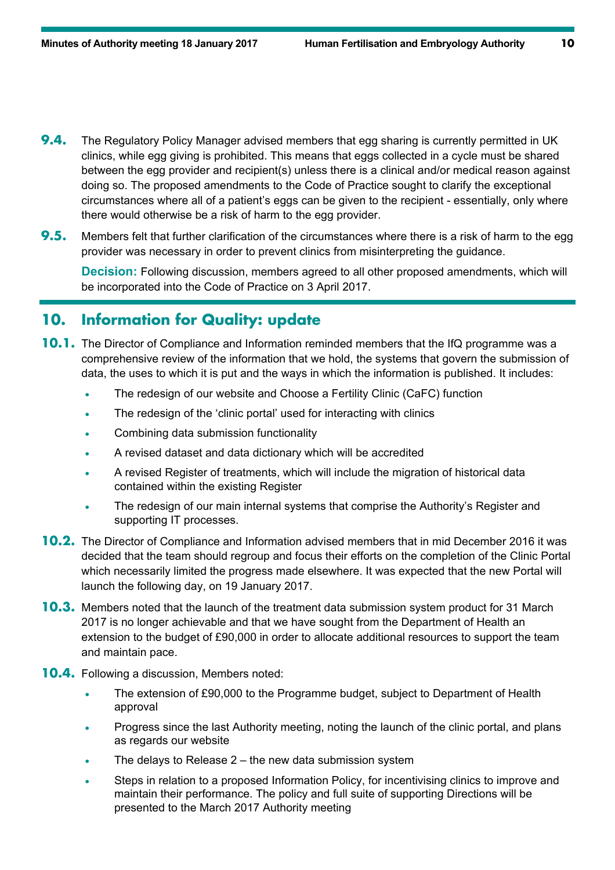- **9.4.** The Regulatory Policy Manager advised members that egg sharing is currently permitted in UK clinics, while egg giving is prohibited. This means that eggs collected in a cycle must be shared between the egg provider and recipient(s) unless there is a clinical and/or medical reason against doing so. The proposed amendments to the Code of Practice sought to clarify the exceptional circumstances where all of a patient's eggs can be given to the recipient - essentially, only where there would otherwise be a risk of harm to the egg provider.
- **9.5.** Members felt that further clarification of the circumstances where there is a risk of harm to the egg provider was necessary in order to prevent clinics from misinterpreting the guidance.

**Decision:** Following discussion, members agreed to all other proposed amendments, which will be incorporated into the Code of Practice on 3 April 2017.

## **10. Information for Quality: update**

- **10.1.** The Director of Compliance and Information reminded members that the IfQ programme was a comprehensive review of the information that we hold, the systems that govern the submission of data, the uses to which it is put and the ways in which the information is published. It includes:
	- The redesign of our website and Choose a Fertility Clinic (CaFC) function
	- The redesign of the 'clinic portal' used for interacting with clinics
	- Combining data submission functionality
	- A revised dataset and data dictionary which will be accredited
	- A revised Register of treatments, which will include the migration of historical data contained within the existing Register
	- The redesign of our main internal systems that comprise the Authority's Register and supporting IT processes.
- **10.2.** The Director of Compliance and Information advised members that in mid December 2016 it was decided that the team should regroup and focus their efforts on the completion of the Clinic Portal which necessarily limited the progress made elsewhere. It was expected that the new Portal will launch the following day, on 19 January 2017.
- **10.3.** Members noted that the launch of the treatment data submission system product for 31 March 2017 is no longer achievable and that we have sought from the Department of Health an extension to the budget of £90,000 in order to allocate additional resources to support the team and maintain pace.
- **10.4.** Following a discussion, Members noted:
	- The extension of £90,000 to the Programme budget, subject to Department of Health approval
	- Progress since the last Authority meeting, noting the launch of the clinic portal, and plans as regards our website
	- The delays to Release 2 the new data submission system
	- Steps in relation to a proposed Information Policy, for incentivising clinics to improve and maintain their performance. The policy and full suite of supporting Directions will be presented to the March 2017 Authority meeting